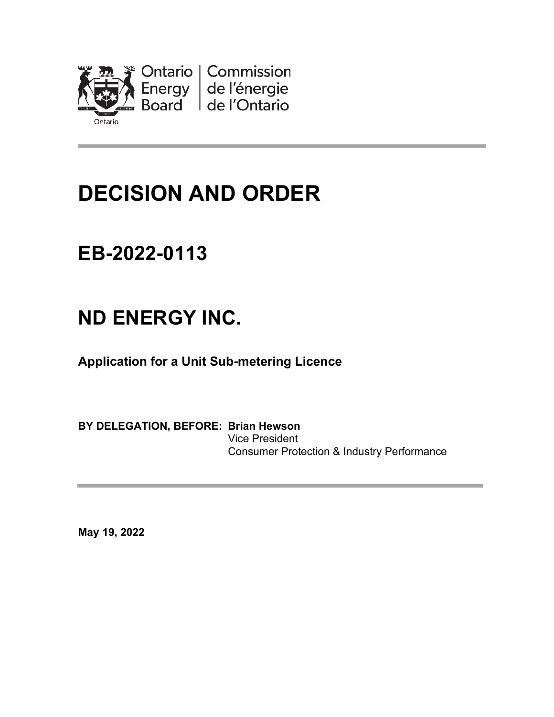

# **DECISION AND ORDER**

## **EB-2022-0113**

## **ND ENERGY INC.**

**Application for a Unit Sub-metering Licence**

**BY DELEGATION, BEFORE: Brian Hewson** Vice President Consumer Protection & Industry Performance

**May 19, 2022**